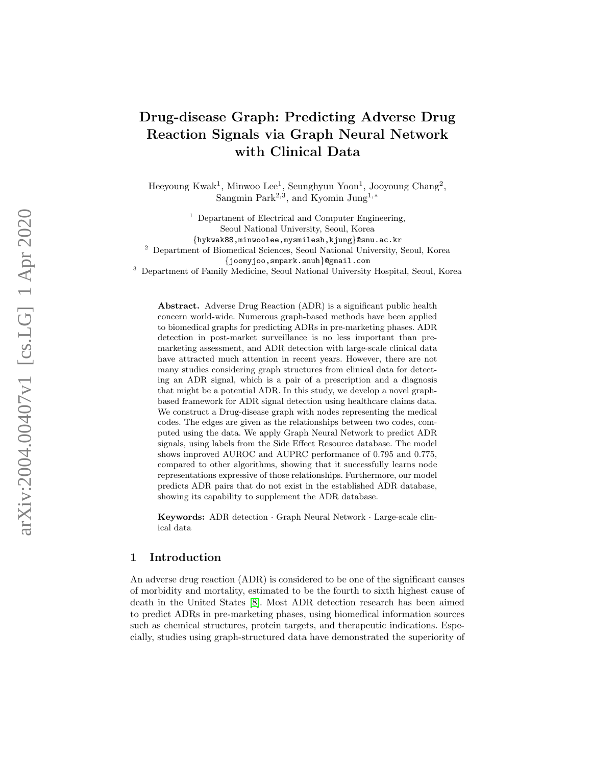# Drug-disease Graph: Predicting Adverse Drug Reaction Signals via Graph Neural Network with Clinical Data

Heeyoung Kwak<sup>1</sup>, Minwoo Lee<sup>1</sup>, Seunghyun Yoon<sup>1</sup>, Jooyoung Chang<sup>2</sup>, Sangmin Park<sup>2,3</sup>, and Kyomin Jung<sup>1,\*</sup>

<sup>1</sup> Department of Electrical and Computer Engineering, Seoul National University, Seoul, Korea {hykwak88,minwoolee,mysmilesh,kjung }@snu.ac.kr <sup>2</sup> Department of Biomedical Sciences, Seoul National University, Seoul, Korea {joomyjoo,smpark.snuh}@gmail.com

<sup>3</sup> Department of Family Medicine, Seoul National University Hospital, Seoul, Korea

Abstract. Adverse Drug Reaction (ADR) is a significant public health concern world-wide. Numerous graph-based methods have been applied to biomedical graphs for predicting ADRs in pre-marketing phases. ADR detection in post-market surveillance is no less important than premarketing assessment, and ADR detection with large-scale clinical data have attracted much attention in recent years. However, there are not many studies considering graph structures from clinical data for detecting an ADR signal, which is a pair of a prescription and a diagnosis that might be a potential ADR. In this study, we develop a novel graphbased framework for ADR signal detection using healthcare claims data. We construct a Drug-disease graph with nodes representing the medical codes. The edges are given as the relationships between two codes, computed using the data. We apply Graph Neural Network to predict ADR signals, using labels from the Side Effect Resource database. The model shows improved AUROC and AUPRC performance of 0.795 and 0.775, compared to other algorithms, showing that it successfully learns node representations expressive of those relationships. Furthermore, our model predicts ADR pairs that do not exist in the established ADR database, showing its capability to supplement the ADR database.

Keywords: ADR detection · Graph Neural Network · Large-scale clinical data

# 1 Introduction

An adverse drug reaction (ADR) is considered to be one of the significant causes of morbidity and mortality, estimated to be the fourth to sixth highest cause of death in the United States [\[8\]](#page-11-0). Most ADR detection research has been aimed to predict ADRs in pre-marketing phases, using biomedical information sources such as chemical structures, protein targets, and therapeutic indications. Especially, studies using graph-structured data have demonstrated the superiority of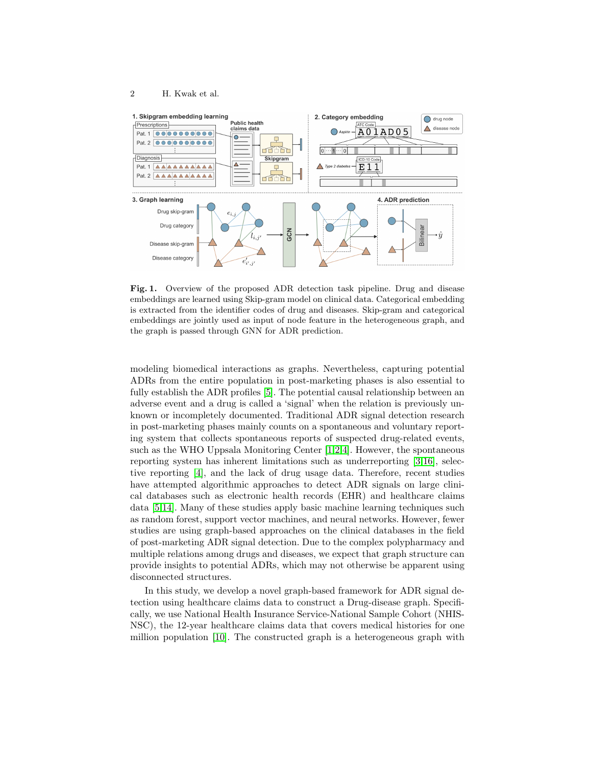

<span id="page-1-0"></span>Fig. 1. Overview of the proposed ADR detection task pipeline. Drug and disease embeddings are learned using Skip-gram model on clinical data. Categorical embedding is extracted from the identifier codes of drug and diseases. Skip-gram and categorical embeddings are jointly used as input of node feature in the heterogeneous graph, and the graph is passed through GNN for ADR prediction.

modeling biomedical interactions as graphs. Nevertheless, capturing potential ADRs from the entire population in post-marketing phases is also essential to fully establish the ADR profiles [\[5\]](#page-10-0). The potential causal relationship between an adverse event and a drug is called a 'signal' when the relation is previously unknown or incompletely documented. Traditional ADR signal detection research in post-marketing phases mainly counts on a spontaneous and voluntary reporting system that collects spontaneous reports of suspected drug-related events, such as the WHO Uppsala Monitoring Center [\[1,](#page-10-1)[2,](#page-10-2)[4\]](#page-10-3). However, the spontaneous reporting system has inherent limitations such as underreporting [\[3,](#page-10-4)[16\]](#page-11-1), selective reporting [\[4\]](#page-10-3), and the lack of drug usage data. Therefore, recent studies have attempted algorithmic approaches to detect ADR signals on large clinical databases such as electronic health records (EHR) and healthcare claims data [\[5,](#page-10-0)[14\]](#page-11-2). Many of these studies apply basic machine learning techniques such as random forest, support vector machines, and neural networks. However, fewer studies are using graph-based approaches on the clinical databases in the field of post-marketing ADR signal detection. Due to the complex polypharmacy and multiple relations among drugs and diseases, we expect that graph structure can provide insights to potential ADRs, which may not otherwise be apparent using disconnected structures.

In this study, we develop a novel graph-based framework for ADR signal detection using healthcare claims data to construct a Drug-disease graph. Specifically, we use National Health Insurance Service-National Sample Cohort (NHIS-NSC), the 12-year healthcare claims data that covers medical histories for one million population [\[10\]](#page-11-3). The constructed graph is a heterogeneous graph with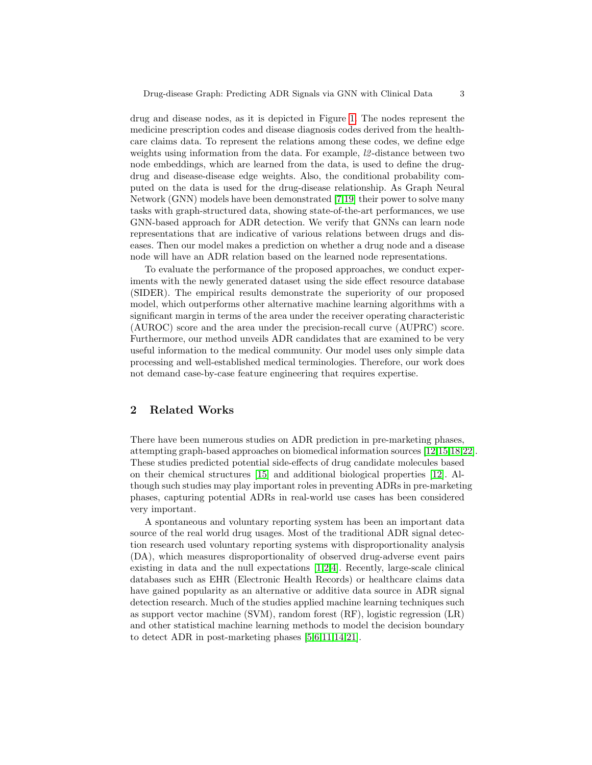drug and disease nodes, as it is depicted in Figure [1.](#page-1-0) The nodes represent the medicine prescription codes and disease diagnosis codes derived from the healthcare claims data. To represent the relations among these codes, we define edge weights using information from the data. For example, l2 -distance between two node embeddings, which are learned from the data, is used to define the drugdrug and disease-disease edge weights. Also, the conditional probability computed on the data is used for the drug-disease relationship. As Graph Neural Network (GNN) models have been demonstrated [\[7,](#page-11-4)[19\]](#page-11-5) their power to solve many tasks with graph-structured data, showing state-of-the-art performances, we use GNN-based approach for ADR detection. We verify that GNNs can learn node representations that are indicative of various relations between drugs and diseases. Then our model makes a prediction on whether a drug node and a disease node will have an ADR relation based on the learned node representations.

To evaluate the performance of the proposed approaches, we conduct experiments with the newly generated dataset using the side effect resource database (SIDER). The empirical results demonstrate the superiority of our proposed model, which outperforms other alternative machine learning algorithms with a significant margin in terms of the area under the receiver operating characteristic (AUROC) score and the area under the precision-recall curve (AUPRC) score. Furthermore, our method unveils ADR candidates that are examined to be very useful information to the medical community. Our model uses only simple data processing and well-established medical terminologies. Therefore, our work does not demand case-by-case feature engineering that requires expertise.

# 2 Related Works

There have been numerous studies on ADR prediction in pre-marketing phases, attempting graph-based approaches on biomedical information sources [\[12,](#page-11-6)[15,](#page-11-7)[18,](#page-11-8)[22\]](#page-11-9). These studies predicted potential side-effects of drug candidate molecules based on their chemical structures [\[15\]](#page-11-7) and additional biological properties [\[12\]](#page-11-6). Although such studies may play important roles in preventing ADRs in pre-marketing phases, capturing potential ADRs in real-world use cases has been considered very important.

A spontaneous and voluntary reporting system has been an important data source of the real world drug usages. Most of the traditional ADR signal detection research used voluntary reporting systems with disproportionality analysis (DA), which measures disproportionality of observed drug-adverse event pairs existing in data and the null expectations [\[1](#page-10-1)[,2,](#page-10-2)[4\]](#page-10-3). Recently, large-scale clinical databases such as EHR (Electronic Health Records) or healthcare claims data have gained popularity as an alternative or additive data source in ADR signal detection research. Much of the studies applied machine learning techniques such as support vector machine (SVM), random forest (RF), logistic regression (LR) and other statistical machine learning methods to model the decision boundary to detect ADR in post-marketing phases [\[5,](#page-10-0)[6](#page-10-5)[,11,](#page-11-10)[14,](#page-11-2)[21\]](#page-11-11).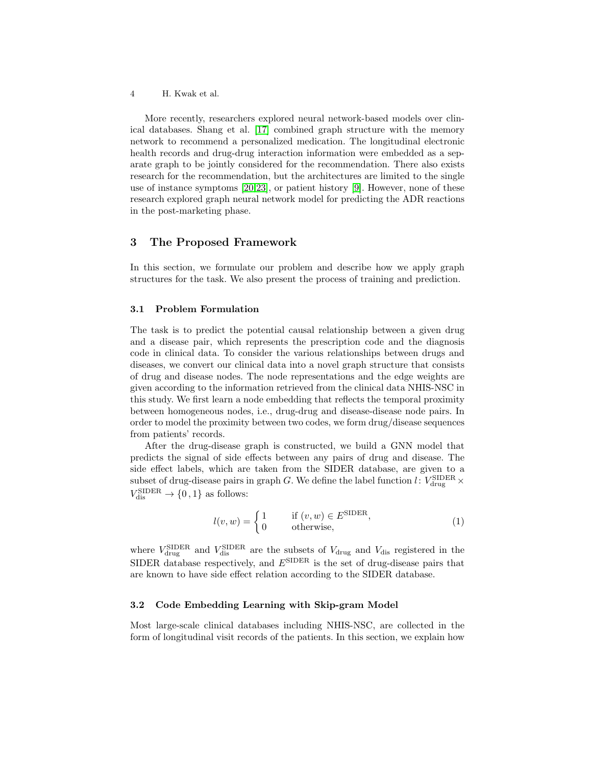4 H. Kwak et al.

More recently, researchers explored neural network-based models over clinical databases. Shang et al. [\[17\]](#page-11-12) combined graph structure with the memory network to recommend a personalized medication. The longitudinal electronic health records and drug-drug interaction information were embedded as a separate graph to be jointly considered for the recommendation. There also exists research for the recommendation, but the architectures are limited to the single use of instance symptoms [\[20](#page-11-13)[,23\]](#page-11-14), or patient history [\[9\]](#page-11-15). However, none of these research explored graph neural network model for predicting the ADR reactions in the post-marketing phase.

# 3 The Proposed Framework

In this section, we formulate our problem and describe how we apply graph structures for the task. We also present the process of training and prediction.

#### 3.1 Problem Formulation

The task is to predict the potential causal relationship between a given drug and a disease pair, which represents the prescription code and the diagnosis code in clinical data. To consider the various relationships between drugs and diseases, we convert our clinical data into a novel graph structure that consists of drug and disease nodes. The node representations and the edge weights are given according to the information retrieved from the clinical data NHIS-NSC in this study. We first learn a node embedding that reflects the temporal proximity between homogeneous nodes, i.e., drug-drug and disease-disease node pairs. In order to model the proximity between two codes, we form drug/disease sequences from patients' records.

After the drug-disease graph is constructed, we build a GNN model that predicts the signal of side effects between any pairs of drug and disease. The side effect labels, which are taken from the SIDER database, are given to a subset of drug-disease pairs in graph G. We define the label function  $l$ :  $V^{\rm SIDER}_{\rm drug}$  ×  $V_{\text{dis}}^{\text{SIDER}} \rightarrow \{0, 1\}$  as follows:

$$
l(v, w) = \begin{cases} 1 & \text{if } (v, w) \in E^{\text{SIDER}}, \\ 0 & \text{otherwise}, \end{cases}
$$
 (1)

where  $V_{\text{drug}}^{\text{SIDER}}$  and  $V_{\text{dis}}^{\text{SIDER}}$  are the subsets of  $V_{\text{drug}}$  and  $V_{\text{dis}}$  registered in the SIDER database respectively, and  $E^{\text{SIDER}}$  is the set of drug-disease pairs that are known to have side effect relation according to the SIDER database.

## <span id="page-3-0"></span>3.2 Code Embedding Learning with Skip-gram Model

Most large-scale clinical databases including NHIS-NSC, are collected in the form of longitudinal visit records of the patients. In this section, we explain how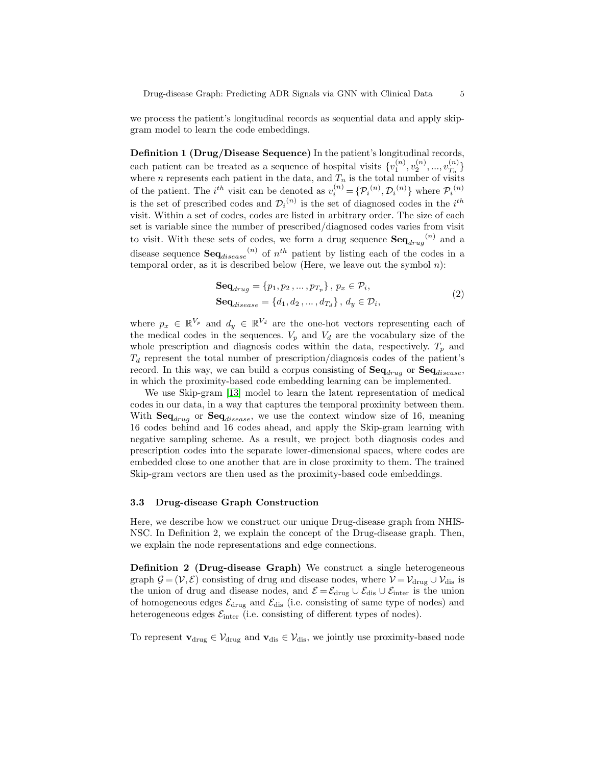we process the patient's longitudinal records as sequential data and apply skipgram model to learn the code embeddings.

Definition 1 (Drug/Disease Sequence) In the patient's longitudinal records, each patient can be treated as a sequence of hospital visits  ${v_1^{(n)}, v_2^{(n)}, ..., v_{T_n}^{(n)}}$  $T_n^{(n)}$ } where *n* represents each patient in the data, and  $T_n$  is the total number of visits of the patient. The  $i^{th}$  visit can be denoted as  $v_i^{(n)} = \{P_i^{(n)}, \mathcal{D}_i^{(n)}\}$  where  $\mathcal{P}_i^{(n)}$ is the set of prescribed codes and  $\mathcal{D}_i^{(n)}$  is the set of diagnosed codes in the  $i^{th}$ visit. Within a set of codes, codes are listed in arbitrary order. The size of each set is variable since the number of prescribed/diagnosed codes varies from visit to visit. With these sets of codes, we form a drug sequence  $\mathbf{Seq}_{drug}^{(n)}$  and a disease sequence  $\textbf{Seq}_{disease}(n)$  of  $n^{th}$  patient by listing each of the codes in a temporal order, as it is described below (Here, we leave out the symbol  $n$ ):

$$
\begin{aligned} \mathbf{Seq}_{drug} &= \{p_1, p_2, \dots, p_{T_p}\}, \ p_x \in \mathcal{P}_i, \\ \mathbf{Seq}_{discase} &= \{d_1, d_2, \dots, d_{T_d}\}, \ d_y \in \mathcal{D}_i, \end{aligned} \tag{2}
$$

where  $p_x \in \mathbb{R}^{V_p}$  and  $d_y \in \mathbb{R}^{V_d}$  are the one-hot vectors representing each of the medical codes in the sequences.  $V_p$  and  $V_d$  are the vocabulary size of the whole prescription and diagnosis codes within the data, respectively.  $T_p$  and  $T_d$  represent the total number of prescription/diagnosis codes of the patient's record. In this way, we can build a corpus consisting of  $\textbf{Seq}_{drua}$  or  $\textbf{Seq}_{disease}$ , in which the proximity-based code embedding learning can be implemented.

We use Skip-gram [\[13\]](#page-11-16) model to learn the latent representation of medical codes in our data, in a way that captures the temporal proximity between them. With  $\textbf{Seq}_{drug}$  or  $\textbf{Seq}_{discase}$ , we use the context window size of 16, meaning 16 codes behind and 16 codes ahead, and apply the Skip-gram learning with negative sampling scheme. As a result, we project both diagnosis codes and prescription codes into the separate lower-dimensional spaces, where codes are embedded close to one another that are in close proximity to them. The trained Skip-gram vectors are then used as the proximity-based code embeddings.

#### <span id="page-4-0"></span>3.3 Drug-disease Graph Construction

Here, we describe how we construct our unique Drug-disease graph from NHIS-NSC. In Definition 2, we explain the concept of the Drug-disease graph. Then, we explain the node representations and edge connections.

Definition 2 (Drug-disease Graph) We construct a single heterogeneous graph  $\mathcal{G} = (\mathcal{V}, \mathcal{E})$  consisting of drug and disease nodes, where  $\mathcal{V} = \mathcal{V}_{\text{drug}} \cup \mathcal{V}_{\text{dis}}$  is the union of drug and disease nodes, and  $\mathcal{E} = \mathcal{E}_{\text{drug}} \cup \mathcal{E}_{\text{dis}} \cup \mathcal{E}_{\text{inter}}$  is the union of homogeneous edges  $\mathcal{E}_{\text{drug}}$  and  $\mathcal{E}_{\text{dis}}$  (i.e. consisting of same type of nodes) and heterogeneous edges  $\mathcal{E}_{\text{inter}}$  (i.e. consisting of different types of nodes).

To represent  $\mathbf{v}_{\text{drug}} \in \mathcal{V}_{\text{drug}}$  and  $\mathbf{v}_{\text{dis}} \in \mathcal{V}_{\text{dis}}$ , we jointly use proximity-based node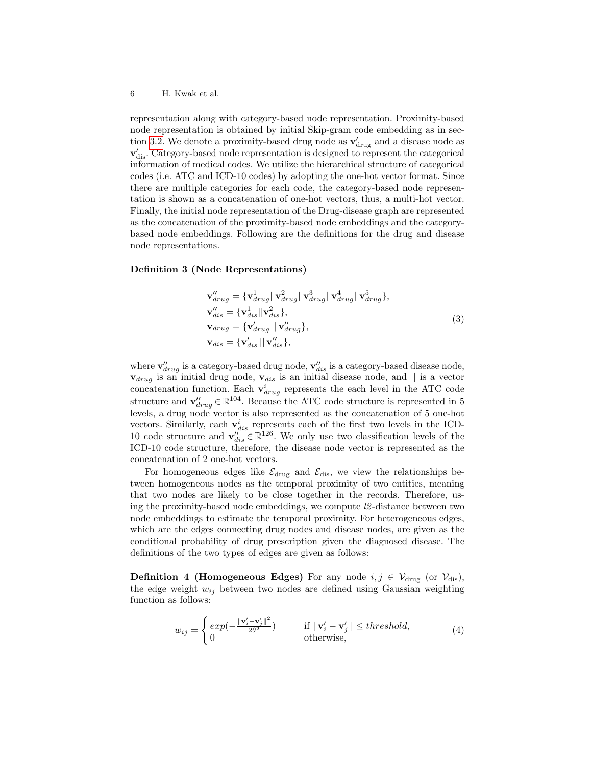representation along with category-based node representation. Proximity-based node representation is obtained by initial Skip-gram code embedding as in sec-tion [3.2.](#page-3-0) We denote a proximity-based drug node as  $\mathbf{v}'_{\text{drug}}$  and a disease node as  $v'_{\text{dis}}$ . Category-based node representation is designed to represent the categorical information of medical codes. We utilize the hierarchical structure of categorical codes (i.e. ATC and ICD-10 codes) by adopting the one-hot vector format. Since there are multiple categories for each code, the category-based node representation is shown as a concatenation of one-hot vectors, thus, a multi-hot vector. Finally, the initial node representation of the Drug-disease graph are represented as the concatenation of the proximity-based node embeddings and the categorybased node embeddings. Following are the definitions for the drug and disease node representations.

## Definition 3 (Node Representations)

$$
\mathbf{v}_{drug}^{\prime} = {\mathbf{v}_{drug}^1 || \mathbf{v}_{drug}^2 || \mathbf{v}_{drug}^3 || \mathbf{v}_{drug}^4 || \mathbf{v}_{drug}^5},
$$
  
\n
$$
\mathbf{v}_{dis}^{\prime} = {\mathbf{v}_{dis}^1 || \mathbf{v}_{dis}^2},
$$
  
\n
$$
\mathbf{v}_{drug} = {\mathbf{v}_{drug}^{\prime} || \mathbf{v}_{drug}^{\prime}},
$$
  
\n
$$
\mathbf{v}_{dis} = {\mathbf{v}_{dis}^{\prime} || \mathbf{v}_{dis}^{\prime}\},
$$
\n(3)

where  $\mathbf{v}''_{drug}$  is a category-based drug node,  $\mathbf{v}''_{dis}$  is a category-based disease node,  $v_{drug}$  is an initial drug node,  $v_{dis}$  is an initial disease node, and || is a vector concatenation function. Each  $\mathbf{v}_{drug}^{i}$  represents the each level in the ATC code structure and  $\mathbf{v}_{drag}^{\prime\prime} \in \mathbb{R}^{104}$ . Because the ATC code structure is represented in 5 levels, a drug node vector is also represented as the concatenation of 5 one-hot vectors. Similarly, each  $\mathbf{v}_{dis}^i$  represents each of the first two levels in the ICD-10 code structure and  $\mathbf{v}_{dis}^{"\mathbf{w}} \in \mathbb{R}^{126}$ . We only use two classification levels of the ICD-10 code structure, therefore, the disease node vector is represented as the concatenation of 2 one-hot vectors.

For homogeneous edges like  $\mathcal{E}_{\text{drug}}$  and  $\mathcal{E}_{\text{dis}}$ , we view the relationships between homogeneous nodes as the temporal proximity of two entities, meaning that two nodes are likely to be close together in the records. Therefore, using the proximity-based node embeddings, we compute l2 -distance between two node embeddings to estimate the temporal proximity. For heterogeneous edges, which are the edges connecting drug nodes and disease nodes, are given as the conditional probability of drug prescription given the diagnosed disease. The definitions of the two types of edges are given as follows:

**Definition 4 (Homogeneous Edges)** For any node  $i, j \in \mathcal{V}_{\text{drug}}$  (or  $\mathcal{V}_{\text{dis}}$ ), the edge weight  $w_{ij}$  between two nodes are defined using Gaussian weighting function as follows:

$$
w_{ij} = \begin{cases} exp(-\frac{\|\mathbf{v}'_i - \mathbf{v}'_j\|^2}{2\theta^2}) & \text{if } \|\mathbf{v}'_i - \mathbf{v}'_j\| \le threshold, \\ 0 & \text{otherwise,} \end{cases}
$$
(4)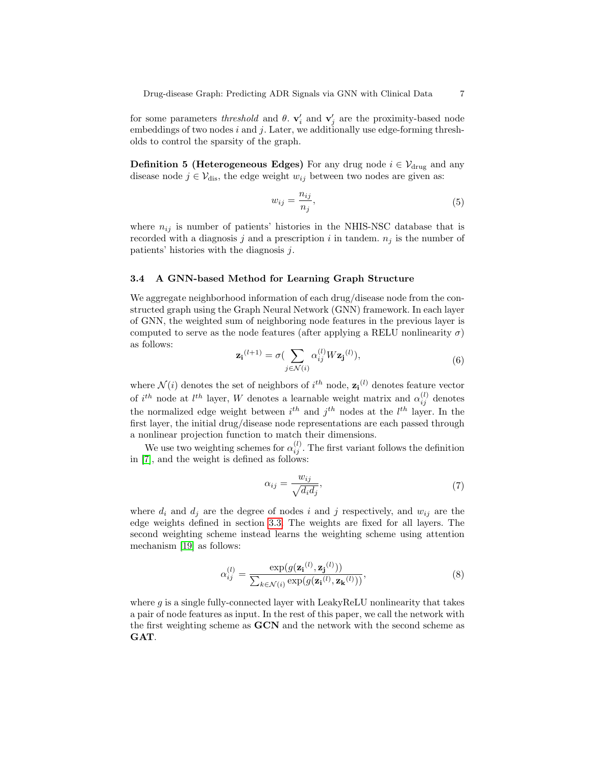for some parameters *threshold* and  $\theta$ .  $\mathbf{v}'_i$  and  $\mathbf{v}'_j$  are the proximity-based node embeddings of two nodes  $i$  and  $j$ . Later, we additionally use edge-forming thresholds to control the sparsity of the graph.

**Definition 5 (Heterogeneous Edges)** For any drug node  $i \in \mathcal{V}_{\text{drug}}$  and any disease node  $j \in \mathcal{V}_{\text{dis}}$ , the edge weight  $w_{ij}$  between two nodes are given as:

$$
w_{ij} = \frac{n_{ij}}{n_j},\tag{5}
$$

where  $n_{ij}$  is number of patients' histories in the NHIS-NSC database that is recorded with a diagnosis j and a prescription i in tandem.  $n_j$  is the number of patients' histories with the diagnosis j.

#### 3.4 A GNN-based Method for Learning Graph Structure

We aggregate neighborhood information of each drug/disease node from the constructed graph using the Graph Neural Network (GNN) framework. In each layer of GNN, the weighted sum of neighboring node features in the previous layer is computed to serve as the node features (after applying a RELU nonlinearity  $\sigma$ ) as follows:

$$
\mathbf{z_i}^{(l+1)} = \sigma\left(\sum_{j \in \mathcal{N}(i)} \alpha_{ij}^{(l)} W \mathbf{z_j}^{(l)}\right),\tag{6}
$$

where  $\mathcal{N}(i)$  denotes the set of neighbors of  $i^{th}$  node,  $\mathbf{z_i}^{(l)}$  denotes feature vector of  $i^{th}$  node at  $l^{th}$  layer, W denotes a learnable weight matrix and  $\alpha_{ij}^{(l)}$  denotes the normalized edge weight between  $i^{th}$  and  $j^{th}$  nodes at the  $l^{th}$  layer. In the first layer, the initial drug/disease node representations are each passed through a nonlinear projection function to match their dimensions.

We use two weighting schemes for  $\alpha_{ij}^{(l)}$ . The first variant follows the definition in [\[7\]](#page-11-4), and the weight is defined as follows:

$$
\alpha_{ij} = \frac{w_{ij}}{\sqrt{d_i d_j}},\tag{7}
$$

where  $d_i$  and  $d_j$  are the degree of nodes i and j respectively, and  $w_{ij}$  are the edge weights defined in section [3.3.](#page-4-0) The weights are fixed for all layers. The second weighting scheme instead learns the weighting scheme using attention mechanism [\[19\]](#page-11-5) as follows:

$$
\alpha_{ij}^{(l)} = \frac{\exp(g(\mathbf{z_i}^{(l)}, \mathbf{z_j}^{(l)}))}{\sum_{k \in \mathcal{N}(i)} \exp(g(\mathbf{z_i}^{(l)}, \mathbf{z_k}^{(l)}))},\tag{8}
$$

where  $g$  is a single fully-connected layer with LeakyReLU nonlinearity that takes a pair of node features as input. In the rest of this paper, we call the network with the first weighting scheme as GCN and the network with the second scheme as GAT.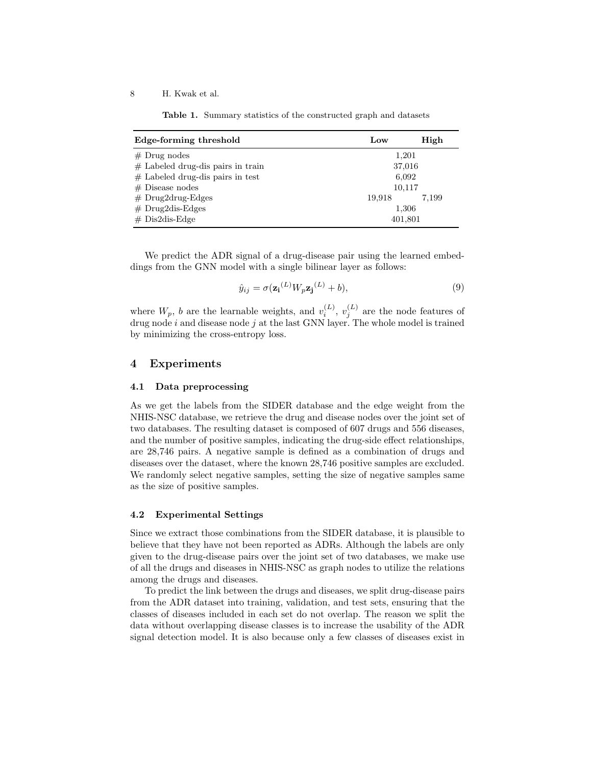#### 8 H. Kwak et al.

<span id="page-7-0"></span>Table 1. Summary statistics of the constructed graph and datasets

| Edge-forming threshold              | Low     | High  |
|-------------------------------------|---------|-------|
| $#$ Drug nodes                      | 1,201   |       |
| $#$ Labeled drug-dis pairs in train | 37,016  |       |
| $#$ Labeled drug-dis pairs in test  | 6,092   |       |
| $#$ Disease nodes                   | 10,117  |       |
| $#$ Drug2drug-Edges                 | 19,918  | 7.199 |
| $#$ Drug2dis-Edges                  | 1,306   |       |
| $# Dis2dis-Edge$                    | 401,801 |       |

We predict the ADR signal of a drug-disease pair using the learned embeddings from the GNN model with a single bilinear layer as follows:

$$
\hat{y}_{ij} = \sigma(\mathbf{z_i}^{(L)} W_p \mathbf{z_j}^{(L)} + b),\tag{9}
$$

where  $W_p$ , b are the learnable weights, and  $v_i^{(L)}$ ,  $v_j^{(L)}$  are the node features of drug node  $i$  and disease node  $j$  at the last GNN layer. The whole model is trained by minimizing the cross-entropy loss.

# 4 Experiments

#### 4.1 Data preprocessing

As we get the labels from the SIDER database and the edge weight from the NHIS-NSC database, we retrieve the drug and disease nodes over the joint set of two databases. The resulting dataset is composed of 607 drugs and 556 diseases, and the number of positive samples, indicating the drug-side effect relationships, are 28,746 pairs. A negative sample is defined as a combination of drugs and diseases over the dataset, where the known 28,746 positive samples are excluded. We randomly select negative samples, setting the size of negative samples same as the size of positive samples.

#### 4.2 Experimental Settings

Since we extract those combinations from the SIDER database, it is plausible to believe that they have not been reported as ADRs. Although the labels are only given to the drug-disease pairs over the joint set of two databases, we make use of all the drugs and diseases in NHIS-NSC as graph nodes to utilize the relations among the drugs and diseases.

To predict the link between the drugs and diseases, we split drug-disease pairs from the ADR dataset into training, validation, and test sets, ensuring that the classes of diseases included in each set do not overlap. The reason we split the data without overlapping disease classes is to increase the usability of the ADR signal detection model. It is also because only a few classes of diseases exist in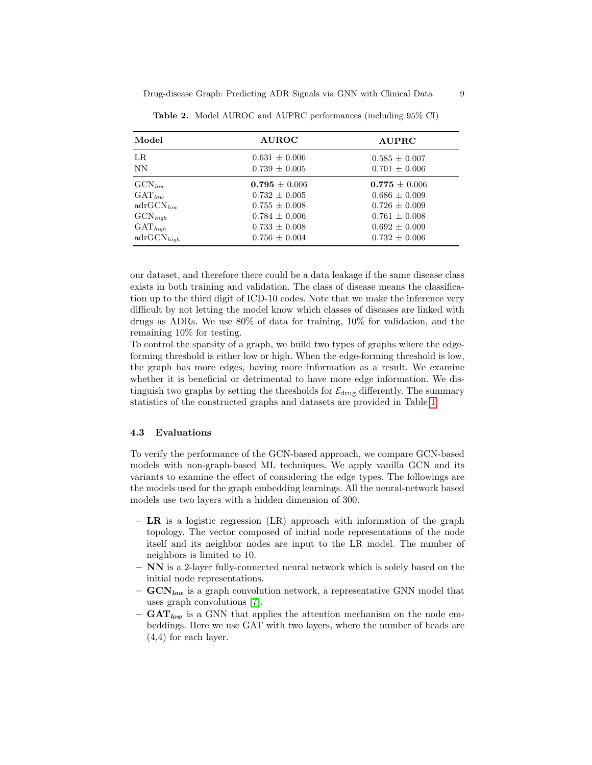| Model           | <b>AUROC</b>      | <b>AUPRC</b>      |
|-----------------|-------------------|-------------------|
| LR.             | $0.631 \pm 0.006$ | $0.585 \pm 0.007$ |
| NN              | $0.739 \pm 0.005$ | $0.701 \pm 0.006$ |
| $GCN_{low}$     | $0.795 \pm 0.006$ | $0.775 \pm 0.006$ |
| $GAT_{low}$     | $0.732 \pm 0.005$ | $0.686 \pm 0.009$ |
| $adrGCN_{low}$  | $0.755 \pm 0.008$ | $0.726 \pm 0.009$ |
| $GCN_{high}$    | $0.784 \pm 0.006$ | $0.761 \pm 0.008$ |
| $GAT_{high}$    | $0.733 \pm 0.008$ | $0.692 \pm 0.009$ |
| $adrGCN_{high}$ | $0.756 \pm 0.004$ | $0.732 \pm 0.006$ |

<span id="page-8-0"></span>Table 2. Model AUROC and AUPRC performances (including 95% CI)

our dataset, and therefore there could be a data leakage if the same disease class exists in both training and validation. The class of disease means the classification up to the third digit of ICD-10 codes. Note that we make the inference very difficult by not letting the model know which classes of diseases are linked with drugs as ADRs. We use 80% of data for training, 10% for validation, and the remaining 10% for testing.

To control the sparsity of a graph, we build two types of graphs where the edgeforming threshold is either low or high. When the edge-forming threshold is low, the graph has more edges, having more information as a result. We examine whether it is beneficial or detrimental to have more edge information. We distinguish two graphs by setting the thresholds for  $\mathcal{E}_{\text{drug}}$  differently. The summary statistics of the constructed graphs and datasets are provided in Table [1.](#page-7-0)

#### 4.3 Evaluations

To verify the performance of the GCN-based approach, we compare GCN-based models with non-graph-based ML techniques. We apply vanilla GCN and its variants to examine the effect of considering the edge types. The followings are the models used for the graph embedding learnings. All the neural-network based models use two layers with a hidden dimension of 300.

- $-$  LR is a logistic regression (LR) approach with information of the graph topology. The vector composed of initial node representations of the node itself and its neighbor nodes are input to the LR model. The number of neighbors is limited to 10.
- NN is a 2-layer fully-connected neural network which is solely based on the initial node representations.
- $\mathbf{GCN}_{low}$  is a graph convolution network, a representative GNN model that uses graph convolutions [\[7\]](#page-11-4).
- $GAT_{low}$  is a GNN that applies the attention mechanism on the node embeddings. Here we use GAT with two layers, where the number of heads are (4,4) for each layer.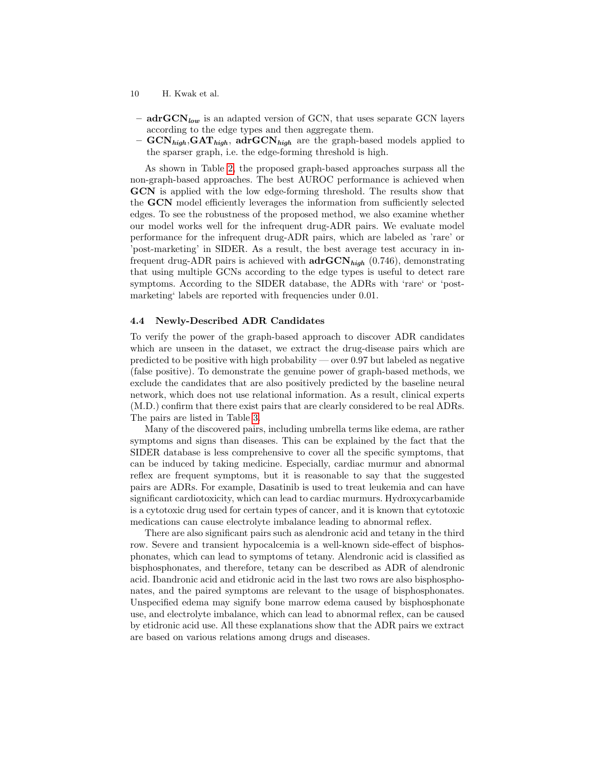- 10 H. Kwak et al.
	- adr $GCN_{low}$  is an adapted version of GCN, that uses separate GCN layers according to the edge types and then aggregate them.
	- $\text{GCN}_{high}$ ,  $\text{GAT}_{high}$ ,  $\text{adrGCN}_{high}$  are the graph-based models applied to the sparser graph, i.e. the edge-forming threshold is high.

As shown in Table [2,](#page-8-0) the proposed graph-based approaches surpass all the non-graph-based approaches. The best AUROC performance is achieved when GCN is applied with the low edge-forming threshold. The results show that the GCN model efficiently leverages the information from sufficiently selected edges. To see the robustness of the proposed method, we also examine whether our model works well for the infrequent drug-ADR pairs. We evaluate model performance for the infrequent drug-ADR pairs, which are labeled as 'rare' or 'post-marketing' in SIDER. As a result, the best average test accuracy in infrequent drug-ADR pairs is achieved with  $\mathbf{adrGCN}_{high}$  (0.746), demonstrating that using multiple GCNs according to the edge types is useful to detect rare symptoms. According to the SIDER database, the ADRs with 'rare' or 'postmarketing' labels are reported with frequencies under 0.01.

#### 4.4 Newly-Described ADR Candidates

To verify the power of the graph-based approach to discover ADR candidates which are unseen in the dataset, we extract the drug-disease pairs which are predicted to be positive with high probability — over  $0.97$  but labeled as negative (false positive). To demonstrate the genuine power of graph-based methods, we exclude the candidates that are also positively predicted by the baseline neural network, which does not use relational information. As a result, clinical experts (M.D.) confirm that there exist pairs that are clearly considered to be real ADRs. The pairs are listed in Table [3.](#page-10-6)

Many of the discovered pairs, including umbrella terms like edema, are rather symptoms and signs than diseases. This can be explained by the fact that the SIDER database is less comprehensive to cover all the specific symptoms, that can be induced by taking medicine. Especially, cardiac murmur and abnormal reflex are frequent symptoms, but it is reasonable to say that the suggested pairs are ADRs. For example, Dasatinib is used to treat leukemia and can have significant cardiotoxicity, which can lead to cardiac murmurs. Hydroxycarbamide is a cytotoxic drug used for certain types of cancer, and it is known that cytotoxic medications can cause electrolyte imbalance leading to abnormal reflex.

There are also significant pairs such as alendronic acid and tetany in the third row. Severe and transient hypocalcemia is a well-known side-effect of bisphosphonates, which can lead to symptoms of tetany. Alendronic acid is classified as bisphosphonates, and therefore, tetany can be described as ADR of alendronic acid. Ibandronic acid and etidronic acid in the last two rows are also bisphosphonates, and the paired symptoms are relevant to the usage of bisphosphonates. Unspecified edema may signify bone marrow edema caused by bisphosphonate use, and electrolyte imbalance, which can lead to abnormal reflex, can be caused by etidronic acid use. All these explanations show that the ADR pairs we extract are based on various relations among drugs and diseases.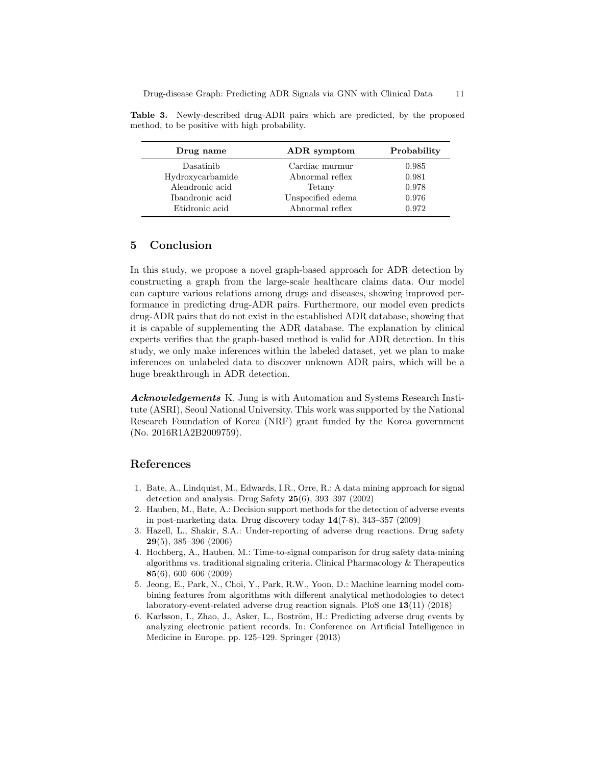| Drug name        | ADR symptom       | Probability |
|------------------|-------------------|-------------|
| Dasatinib        | Cardiac murmur    | 0.985       |
| Hydroxycarbamide | Abnormal reflex   | 0.981       |
| Alendronic acid  | Tetany            | 0.978       |
| Ibandronic acid  | Unspecified edema | 0.976       |
| Etidronic acid   | Abnormal reflex   | 0.972       |

<span id="page-10-6"></span>Table 3. Newly-described drug-ADR pairs which are predicted, by the proposed method, to be positive with high probability.

# 5 Conclusion

In this study, we propose a novel graph-based approach for ADR detection by constructing a graph from the large-scale healthcare claims data. Our model can capture various relations among drugs and diseases, showing improved performance in predicting drug-ADR pairs. Furthermore, our model even predicts drug-ADR pairs that do not exist in the established ADR database, showing that it is capable of supplementing the ADR database. The explanation by clinical experts verifies that the graph-based method is valid for ADR detection. In this study, we only make inferences within the labeled dataset, yet we plan to make inferences on unlabeled data to discover unknown ADR pairs, which will be a huge breakthrough in ADR detection.

Acknowledgements K. Jung is with Automation and Systems Research Institute (ASRI), Seoul National University. This work was supported by the National Research Foundation of Korea (NRF) grant funded by the Korea government (No. 2016R1A2B2009759).

# References

- <span id="page-10-1"></span>1. Bate, A., Lindquist, M., Edwards, I.R., Orre, R.: A data mining approach for signal detection and analysis. Drug Safety 25(6), 393–397 (2002)
- <span id="page-10-2"></span>2. Hauben, M., Bate, A.: Decision support methods for the detection of adverse events in post-marketing data. Drug discovery today 14(7-8), 343–357 (2009)
- <span id="page-10-4"></span>3. Hazell, L., Shakir, S.A.: Under-reporting of adverse drug reactions. Drug safety 29(5), 385–396 (2006)
- <span id="page-10-3"></span>4. Hochberg, A., Hauben, M.: Time-to-signal comparison for drug safety data-mining algorithms vs. traditional signaling criteria. Clinical Pharmacology & Therapeutics 85(6), 600–606 (2009)
- <span id="page-10-0"></span>5. Jeong, E., Park, N., Choi, Y., Park, R.W., Yoon, D.: Machine learning model combining features from algorithms with different analytical methodologies to detect laboratory-event-related adverse drug reaction signals. PloS one 13(11) (2018)
- <span id="page-10-5"></span>6. Karlsson, I., Zhao, J., Asker, L., Boström, H.: Predicting adverse drug events by analyzing electronic patient records. In: Conference on Artificial Intelligence in Medicine in Europe. pp. 125–129. Springer (2013)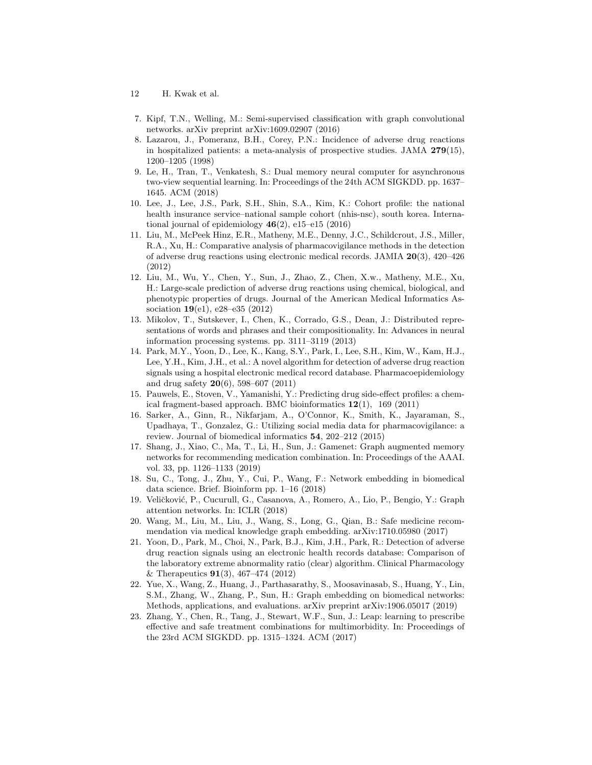- 12 H. Kwak et al.
- <span id="page-11-4"></span>7. Kipf, T.N., Welling, M.: Semi-supervised classification with graph convolutional networks. arXiv preprint arXiv:1609.02907 (2016)
- <span id="page-11-0"></span>8. Lazarou, J., Pomeranz, B.H., Corey, P.N.: Incidence of adverse drug reactions in hospitalized patients: a meta-analysis of prospective studies. JAMA  $279(15)$ , 1200–1205 (1998)
- <span id="page-11-15"></span>9. Le, H., Tran, T., Venkatesh, S.: Dual memory neural computer for asynchronous two-view sequential learning. In: Proceedings of the 24th ACM SIGKDD. pp. 1637– 1645. ACM (2018)
- <span id="page-11-3"></span>10. Lee, J., Lee, J.S., Park, S.H., Shin, S.A., Kim, K.: Cohort profile: the national health insurance service–national sample cohort (nhis-nsc), south korea. International journal of epidemiology  $46(2)$ , e15–e15 (2016)
- <span id="page-11-10"></span>11. Liu, M., McPeek Hinz, E.R., Matheny, M.E., Denny, J.C., Schildcrout, J.S., Miller, R.A., Xu, H.: Comparative analysis of pharmacovigilance methods in the detection of adverse drug reactions using electronic medical records. JAMIA 20(3), 420–426 (2012)
- <span id="page-11-6"></span>12. Liu, M., Wu, Y., Chen, Y., Sun, J., Zhao, Z., Chen, X.w., Matheny, M.E., Xu, H.: Large-scale prediction of adverse drug reactions using chemical, biological, and phenotypic properties of drugs. Journal of the American Medical Informatics Association 19(e1), e28–e35 (2012)
- <span id="page-11-16"></span>13. Mikolov, T., Sutskever, I., Chen, K., Corrado, G.S., Dean, J.: Distributed representations of words and phrases and their compositionality. In: Advances in neural information processing systems. pp. 3111–3119 (2013)
- <span id="page-11-2"></span>14. Park, M.Y., Yoon, D., Lee, K., Kang, S.Y., Park, I., Lee, S.H., Kim, W., Kam, H.J., Lee, Y.H., Kim, J.H., et al.: A novel algorithm for detection of adverse drug reaction signals using a hospital electronic medical record database. Pharmacoepidemiology and drug safety 20(6), 598–607 (2011)
- <span id="page-11-7"></span>15. Pauwels, E., Stoven, V., Yamanishi, Y.: Predicting drug side-effect profiles: a chemical fragment-based approach. BMC bioinformatics 12(1), 169 (2011)
- <span id="page-11-1"></span>16. Sarker, A., Ginn, R., Nikfarjam, A., O'Connor, K., Smith, K., Jayaraman, S., Upadhaya, T., Gonzalez, G.: Utilizing social media data for pharmacovigilance: a review. Journal of biomedical informatics 54, 202–212 (2015)
- <span id="page-11-12"></span>17. Shang, J., Xiao, C., Ma, T., Li, H., Sun, J.: Gamenet: Graph augmented memory networks for recommending medication combination. In: Proceedings of the AAAI. vol. 33, pp. 1126–1133 (2019)
- <span id="page-11-8"></span>18. Su, C., Tong, J., Zhu, Y., Cui, P., Wang, F.: Network embedding in biomedical data science. Brief. Bioinform pp. 1–16 (2018)
- <span id="page-11-5"></span>19. Veličković, P., Cucurull, G., Casanova, A., Romero, A., Lio, P., Bengio, Y.: Graph attention networks. In: ICLR (2018)
- <span id="page-11-13"></span>20. Wang, M., Liu, M., Liu, J., Wang, S., Long, G., Qian, B.: Safe medicine recommendation via medical knowledge graph embedding. arXiv:1710.05980 (2017)
- <span id="page-11-11"></span>21. Yoon, D., Park, M., Choi, N., Park, B.J., Kim, J.H., Park, R.: Detection of adverse drug reaction signals using an electronic health records database: Comparison of the laboratory extreme abnormality ratio (clear) algorithm. Clinical Pharmacology & Therapeutics  $91(3)$ , 467–474 (2012)
- <span id="page-11-9"></span>22. Yue, X., Wang, Z., Huang, J., Parthasarathy, S., Moosavinasab, S., Huang, Y., Lin, S.M., Zhang, W., Zhang, P., Sun, H.: Graph embedding on biomedical networks: Methods, applications, and evaluations. arXiv preprint arXiv:1906.05017 (2019)
- <span id="page-11-14"></span>23. Zhang, Y., Chen, R., Tang, J., Stewart, W.F., Sun, J.: Leap: learning to prescribe effective and safe treatment combinations for multimorbidity. In: Proceedings of the 23rd ACM SIGKDD. pp. 1315–1324. ACM (2017)